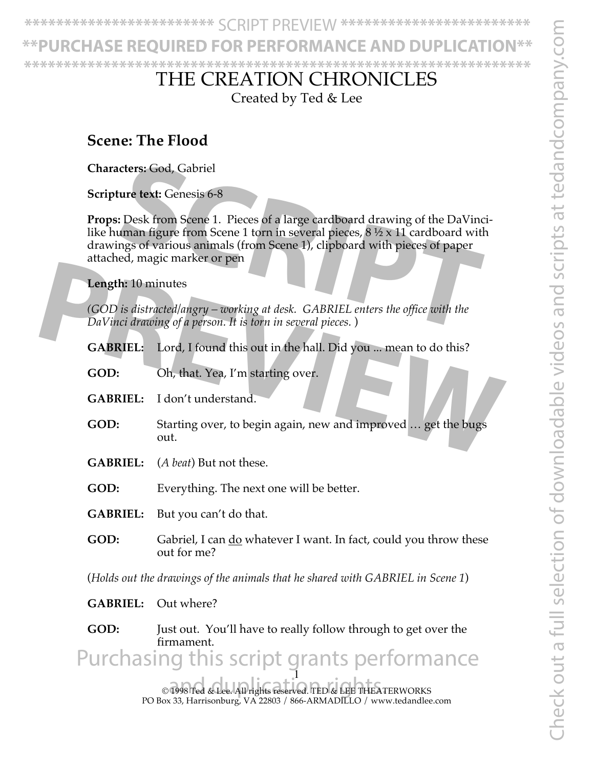**HASE REQUIRED FOR PERFORMANCE AND DUPLI \*\*\*\*\*\*\*\*\*\*\*\*\*\*\*\*\*\*\*\*\*\*\*\*\*\*\*\*\*\*\*\*\*\*\*\*\*\*\*\*\*\*\*\*\*\*\*\*\*\*\*\*\*\*\*\*\*\*\*\*\*\*\*\***

## THE CREATION CHRONICLES

Created by Ted & Lee

### **Scene: The Flood**

**Characters:** God, Gabriel

**Scripture text:** Genesis 6-8

**Props:** Desk from Scene 1. Pieces of a large cardboard drawing of the DaVincilike human figure from Scene 1 torn in several pieces,  $8\frac{1}{2} \times 11$  cardboard with drawings of various animals (from Scene 1), clipboard with pieces of paper attached, magic marker or pen cters: God, Gabriel<br>
struct text: Genesis 6-8<br>
S. Desk from Scene 1. Pieces of a large cardboard drawing of the DaVinci<br>
struman figure from Scene 1 torn in several pieces, 8½ x 11 cardboard with<br>
ngs of various animals (f

**Length:** 10 minutes

*(GOD is distracted/angry – working at desk. GABRIEL enters the office with the DaVinci drawing of a person. It is torn in several pieces.* )

- **GABRIEL:** Lord, I found this out in the hall. Did you ... mean to do this?
- **GOD:** Oh, that. Yea, I'm starting over.
- **GABRIEL:** I don't understand.
- **GOD:** Starting over, to begin again, new and improved … get the bugs out. **Length:** 10 minutes<br>
(GOD is distracted/angry – working at desk. GABRIEL enters the office with the<br>
DaVinci drawing of a person. It is torn in several pieces.)<br> **GABRIEL:** Lord, I found this out in the hall. Did you ...
	- **GABRIEL:** (*A beat*) But not these.
	- **GOD:** Everything. The next one will be better.

**GABRIEL:** But you can't do that.

**GOD:** Gabriel, I can do whatever I want. In fact, could you throw these out for me?

(*Holds out the drawings of the animals that he shared with GABRIEL in Scene 1*)

**GABRIEL:** Out where?

**GOD:** Just out. You'll have to really follow through to get over the firmament.

1 Purchasing this script grants performance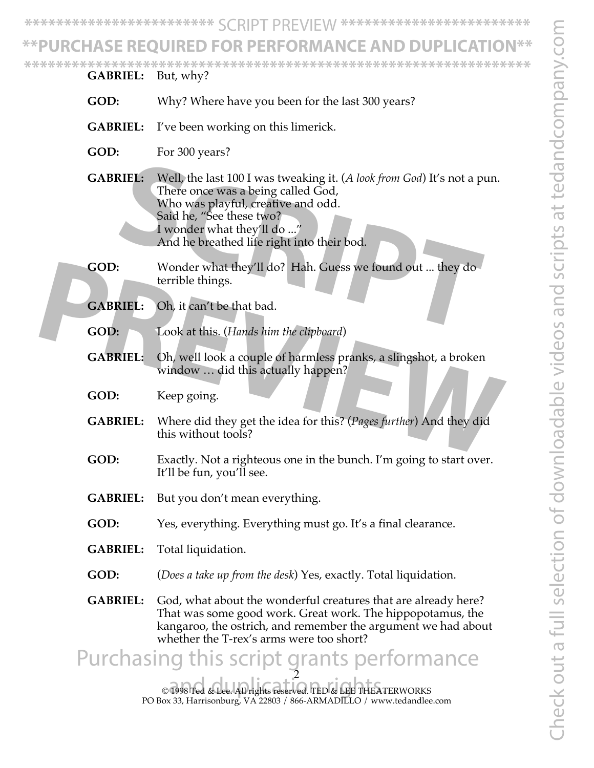# URCHASE REOUIRED FOR PERFORMANCE AND **D**

**\*\*\*\*\*\*\*\*\*\*\*\*\*\*\*\*\*\*\*\*\*\*\*\*\*\*\*\*\*\*\*\*\*\*\*\*\*\*\*\*\*\*\*\*\*\*\*\*\*\*\*\*\*\*\*\*\*\*\*\*\*\*\*\***

**GABRIEL:** But, why?

- **GOD:** Why? Where have you been for the last 300 years?
- **GABRIEL:** I've been working on this limerick.
- **GOD:** For 300 years?
- **GABRIEL:** Well, the last 100 I was tweaking it. (*A look from God*) It's not a pun. There once was a being called God, Who was playful, creative and odd. Said he, "See these two? I wonder what they'll do ..." And he breathed life right into their bod. **SCALE EXECUTE:** Well, the last 100 I was tweaking it. (*A look from God*) It's not a put<br>There once was a being called God,<br>Who was playful, creative and odd.<br>Said he, "See these two?<br>I wonder what they'll do ..."<br>And he
- **GOD:** Wonder what they'll do? Hah. Guess we found out ... they do terrible things.
- **GABRIEL:** Oh, it can't be that bad.
- **GOD:** Look at this. (*Hands him the clipboard*)
- **GABRIEL:** Oh, well look a couple of harmless pranks, a slingshot, a broken window … did this actually happen?
- **GOD:** Keep going.
- **GABRIEL:** Where did they get the idea for this? (*Pages further*) And they did this without tools? **CABRIEL:** Oh, it can't be that bad.<br> **PREVIEL:** Oh, it can't be that bad.<br> **PREVIEL:** Oh, it can't be that bad.<br> **PREVIEL:** Oh, well look a couple of harmless pranks, a slingshot, a broken window ... did this actually hap
	- **GOD:** Exactly. Not a righteous one in the bunch. I'm going to start over. It'll be fun, you'll see.
	- **GABRIEL:** But you don't mean everything.
	- **GOD:** Yes, everything. Everything must go. It's a final clearance.
	- **GABRIEL:** Total liquidation.
	- **GOD:** (*Does a take up from the desk*) Yes, exactly. Total liquidation.
	- **GABRIEL:** God, what about the wonderful creatures that are already here? That was some good work. Great work. The hippopotamus, the kangaroo, the ostrich, and remember the argument we had about whether the T-rex's arms were too short?

2 Purchasing this script grants performance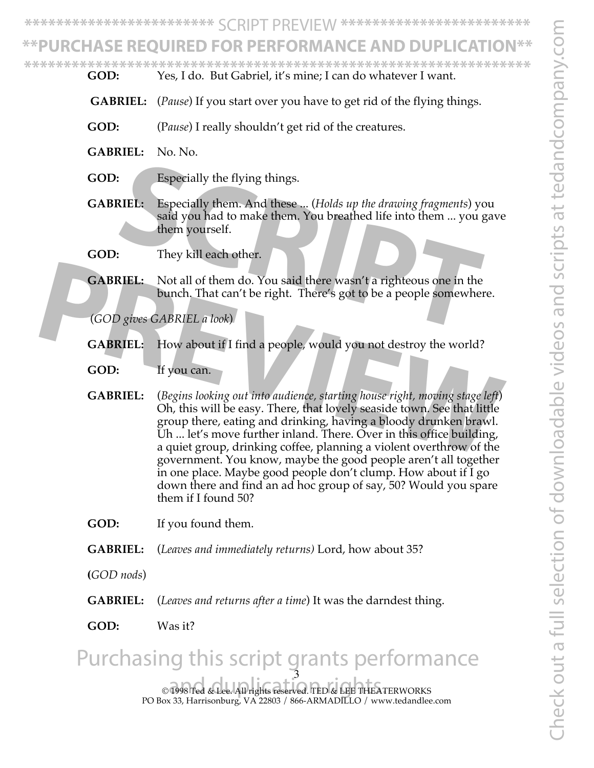Check out a full selection of downloadable videos and scripts at tedandcompany.com Theck out a full selection of downloadable videos and scripts at tedandcompany.

**\*\*\*\*\*\*\*\*\*\*\*\*\*\*\*\*\*\*\*\*\*\*\*\*** SCRIPT PREVIEW **\*\*\*\*\*\*\*\*\*\*\*\*\*\*\*\*\*\*\*\*\*\*\*\***

# URCHASE REQUIRED FOR PERFORMANCE AND DUPLIC

**\*\*\*\*\*\*\*\*\*\*\*\*\*\*\*\*\*\*\*\*\*\*\*\*\*\*\*\*\*\*\*\*\*\*\*\*\*\*\*\*\*\*\*\*\*\*\*\*\*\*\*\*\*\*\*\*\*\*\*\*\*\*\*\***

- **GOD:** Yes, I do. But Gabriel, it's mine; I can do whatever I want.
- **GABRIEL:** (*Pause*) If you start over you have to get rid of the flying things.
- **GOD:** (P*ause*) I really shouldn't get rid of the creatures.
- **GABRIEL:** No. No.
- **GOD:** Especially the flying things.
- **GABRIEL:** Especially them. And these ... (*Holds up the drawing fragments*) you said you had to make them. You breathed life into them ... you gave them yourself. Especially the flying things.<br> **SCRIPT:** Especially them. And these ... (Holds up the drawing fragments) you said you had to make them. You breathed life into them ... you give<br>
them yourself.<br>
They kill each other.<br> **SIEL**
- **GOD:** They kill each other.
- **GABRIEL:** Not all of them do. You said there wasn't a righteous one in the bunch. That can't be right. There's got to be a people somewhere.

(*GOD gives GABRIEL a look*)

- **GABRIEL:** How about if I find a people, would you not destroy the world?
- **GOD:** If you can.
- **GABRIEL:** (*Begins looking out into audience, starting house right, moving stage left*) Oh, this will be easy. There, that lovely seaside town. See that little group there, eating and drinking, having a bloody drunken brawl. Uh ... let's move further inland. There. Over in this office building, a quiet group, drinking coffee, planning a violent overthrow of the government. You know, maybe the good people aren't all together in one place. Maybe good people don't clump. How about if I go down there and find an ad hoc group of say, 50? Would you spare them if I found 50? **FORBIFIEL:** Not all of them do. You said there wasn't a righteous one in the<br>bunch. That can't be right. There's got to be a people somewhere.<br>(GOD gives GABRIEL a look)<br>**CABRIEL:** How about if I find a people, would you

**GOD:** If you found them.

- **GABRIEL:** (*Leaves and immediately returns)* Lord, how about 35?
- **(***GOD nods*)
- **GABRIEL:** (*Leaves and returns after a time*) It was the darndest thing.
- **GOD:** Was it?

#### © 1998 Ted & Lee. All rights reserved. TED & LEE THEATERWORKS and duplication rights. PO Box 33, Harrisonburg, VA 22803 / 866-ARMADILLO / www.tedandlee.com 3 Purchasing this script grants performance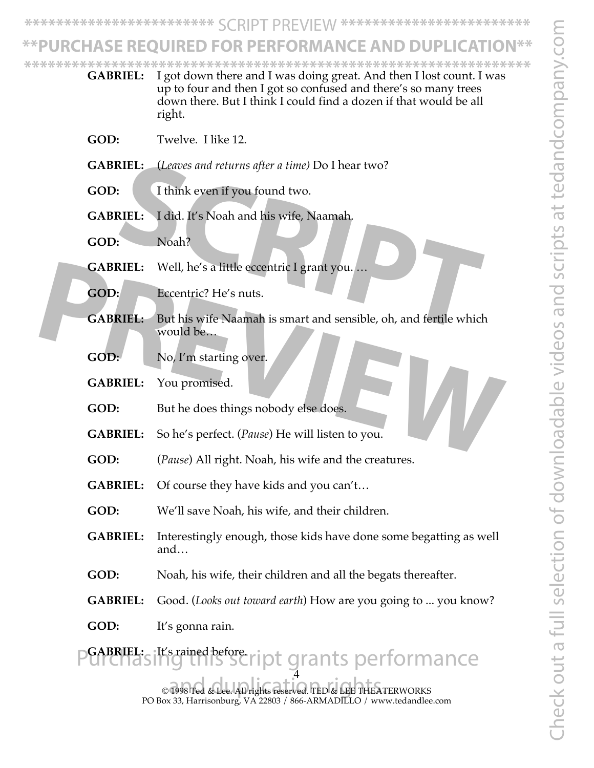# **JRCHASE REQUIRED FOR PERFORMANCE AND DUPLICATI**

**\*\*\*\*\*\*\*\*\*\*\*\*\*\*\*\*\*\*\*\*\*\*\*\*\*\*\*\*\*\*\*\*\*\*\*\*\*\*\*\*\*\*\*\*\*\*\*\*\*\*\*\*\*\*\*\*\*\*\*\*\*\*\*\***

4 **GABRIEL:** I got down there and I was doing great. And then I lost count. I was up to four and then I got so confused and there's so many trees down there. But I think I could find a dozen if that would be all right. **GOD:** Twelve. I like 12. **GABRIEL:** (*Leaves and returns after a time)* Do I hear two? **GOD:** I think even if you found two. **GABRIEL:** I did. It's Noah and his wife, Naamah. GOD: Noah? **GABRIEL:** Well, he's a little eccentric I grant you... **GOD:** Eccentric? He's nuts. **GABRIEL:** But his wife Naamah is smart and sensible, oh, and fertile which would be… **GOD:** No, I'm starting over. **GABRIEL:** You promised. GOD: But he does things nobody else does. **GABRIEL:** So he's perfect. (*Pause*) He will listen to you. **GOD:** (*Pause*) All right. Noah, his wife and the creatures. **GABRIEL:** Of course they have kids and you can't… **GOD:** We'll save Noah, his wife, and their children. **GABRIEL:** Interestingly enough, those kids have done some begatting as well and… **GOD:** Noah, his wife, their children and all the begats thereafter. **GABRIEL:** Good. (*Looks out toward earth*) How are you going to ... you know? **GOD:** It's gonna rain. **GABRIEL:** It's rained before. **SIEL:** *Ceaves and returns after a time)* Do I hear two?<br> **SCRIEL:** I did. It's Noah and his wife, Naamah.<br>
Noah?<br> **SCRIPT:** Well, he's a little eccentric I grant you...<br> **SCRIPT:** Well, he's a little eccentric I grant yo **CABRIEL:** Well, he's a little eccentric I grant you....<br> **CABRIEL:** But his wife Naamah is smart and sensible, oh, and fertile which<br>
would be...<br> **COD:** No, I'm starting over.<br> **COD:** But he does things nobody else does. grants performance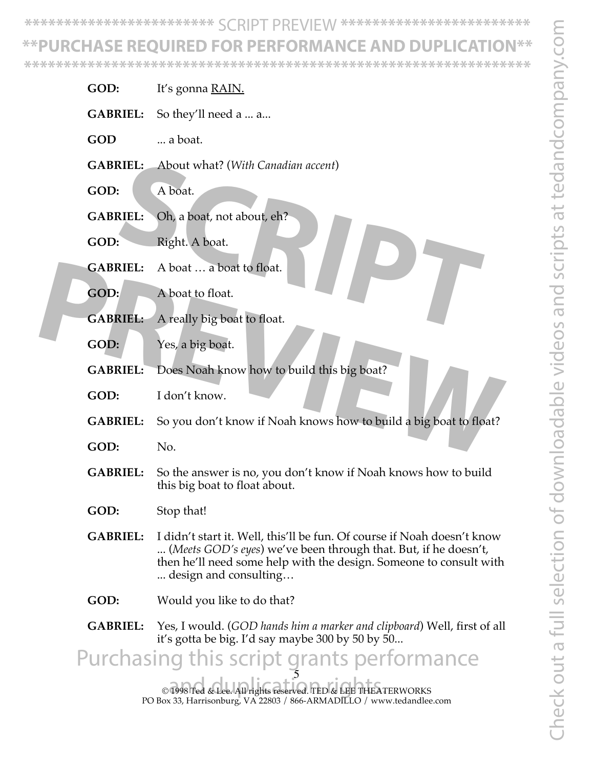# **\*\*PURCHASE REQUIRED FOR PERFORMANCE AND DUPLICATION\*\***

**\*\*\*\*\*\*\*\*\*\*\*\*\*\*\*\*\*\*\*\*\*\*\*\*\*\*\*\*\*\*\*\*\*\*\*\*\*\*\*\*\*\*\*\*\*\*\*\*\*\*\*\*\*\*\*\*\*\*\*\*\*\*\*\***

- **GOD:** It's gonna <u>RA</u>IN.
- **GABRIEL:** So they'll need a ... a...
- GOD ... a boat.
- **GABRIEL:** About what? (*With Canadian accent*)
- **GOD:** A boat.
- **GABRIEL:** Oh, a boat, not about, eh? **SCRIEL:** About what? (With Canadian accent)<br> **SCRIEL:** Oh, a boat, not about, eh?<br> **SCRIPT:** A boat ... a boat to float.<br> **SCRIPT:** A boat ... a boat to float.<br> **SCRIPT:** A really big boat to float.
- **GOD:** Right. A boat.
- **GABRIEL:** A boat … a boat to float.
- **GOD:** A boat to float.
- **GABRIEL:** A really big boat to float.
- **GOD:** Yes, a big boat.
- **GABRIEL:** Does Noah know how to build this big boat?
- **GOD:** I don't know.
- **GABRIEL:** So you don't know if Noah knows how to build a big boat to float? **CABRIEL:** A boat to float.<br> **PREVIEW:** A really big boat to float.<br> **PREVIEL:** A really big boat to float.<br> **PREVIEL:** Does Noah know how to build this big boat?<br> **PREVIEL:** Does Noah know how to build this big boat?<br> **PR** 
	- **GOD:** No.
	- **GABRIEL:** So the answer is no, you don't know if Noah knows how to build this big boat to float about.
	- **GOD:** Stop that!
	- **GABRIEL:** I didn't start it. Well, this'll be fun. Of course if Noah doesn't know ... (*Meets GOD's eyes*) we've been through that. But, if he doesn't, then he'll need some help with the design. Someone to consult with ... design and consulting…
	- **GOD:** Would you like to do that?
	- **GABRIEL:** Yes, I would. (*GOD hands him a marker and clipboard*) Well, first of all it's gotta be big. I'd say maybe 300 by 50 by 50...

© 1998 Ted & Lee. All rights reserved. TED & LEE THEATERWORKS and duplication rights. 5 Purchasing this script grants performance

PO Box 33, Harrisonburg, VA 22803 / 866-ARMADILLO / www.tedandlee.com